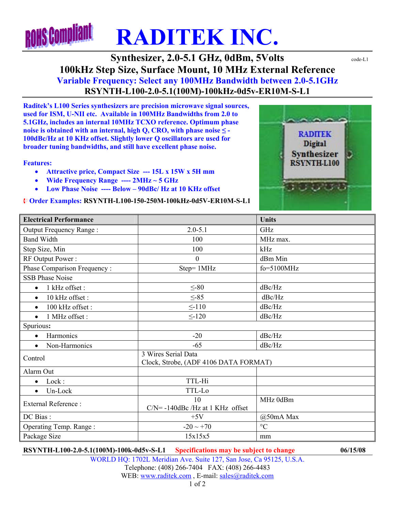## **ROHS Complia RADITEK INC.**

**Synthesizer, 2.0-5.1 GHz, 0dBm, 5Volts**  $\text{code-LL}$ **100kHz Step Size, Surface Mount, 10 MHz External Reference Variable Frequency: Select any 100MHz Bandwidth between 2.0-5.1GHz RSYNTH-L100-2.0-5.1(100M)-100kHz-0d5v-ER10M-S-L1** 

**Raditek's L100 Series synthesizers are precision microwave signal sources, used for ISM, U-NII etc. Available in 100MHz Bandwidths from 2.0 to 5.1GHz, includes an internal 10MHz TCXO reference. Optimum phase noise is obtained with an internal, high Q, CRO, with phase noise**  $\leq$  **-100dBc/Hz at 10 KHz offset. Slightly lower Q oscillators are used for broader tuning bandwidths, and still have excellent phase noise.** 

## **Features:**

- **Attractive price, Compact Size --- 15L x 15W x 5H mm**
- **Wide Frequency Range ---- 2MHz ~ 5 GHz**
- **Low Phase Noise ---- Below 90dBc/ Hz at 10 KHz offset**

## ¨ **Order Examples: RSYNTH-L100-150-250M-100kHz-0d5V-ER10M-S-L1**



| <b>Electrical Performance</b> |                                                              | <b>Units</b>    |
|-------------------------------|--------------------------------------------------------------|-----------------|
| Output Frequency Range:       | $2.0 - 5.1$                                                  | GHz             |
| <b>Band Width</b>             | 100                                                          | MHz max.        |
| Step Size, Min                | 100                                                          | kHz             |
| RF Output Power:              | $\theta$                                                     | dBm Min         |
| Phase Comparison Frequency:   | Step= 1MHz                                                   | $fo = 5100 MHz$ |
| <b>SSB Phase Noise</b>        |                                                              |                 |
| 1 kHz offset :<br>$\bullet$   | $\leq$ -80                                                   | dBc/Hz          |
| 10 kHz offset:<br>$\bullet$   | $\leq -85$                                                   | dBc/Hz          |
| 100 kHz offset:<br>$\bullet$  | $\leq$ -110                                                  | dBc/Hz          |
| 1 MHz offset :<br>$\bullet$   | $\leq$ -120                                                  | dBc/Hz          |
| Spurious:                     |                                                              |                 |
| Harmonics<br>$\bullet$        | $-20$                                                        | dBc/Hz          |
| Non-Harmonics<br>$\bullet$    | $-65$                                                        | dBc/Hz          |
| Control                       | 3 Wires Serial Data<br>Clock, Strobe, (ADF 4106 DATA FORMAT) |                 |
| Alarm Out                     |                                                              |                 |
| Lock:<br>$\bullet$            | TTL-Hi                                                       |                 |
| Un-Lock<br>$\bullet$          | TTL-Lo                                                       |                 |
| <b>External Reference:</b>    | 10                                                           | MHz 0dBm        |
|                               | $C/N$ = -140dBc /Hz at 1 KHz offset                          |                 |
| DC Bias:                      | $+5V$                                                        | $(a)$ 50mA Max  |
| Operating Temp. Range:        | $-20 \sim +70$                                               | $\rm ^{\circ}C$ |
| Package Size                  | 15x15x5                                                      | mm              |

**RSYNTH-L100-2.0-5.1(100M)-100k-0d5v-S-L1 Specifications may be subject to change 06/15/08**

WORLD HQ: 1702L Meridian Ave. Suite 127, San Jose, Ca 95125, U.S.A. Telephone: (408) 266-7404 FAX: (408) 266-4483 WEB: www.raditek.com, E-mail: sales@raditek.com